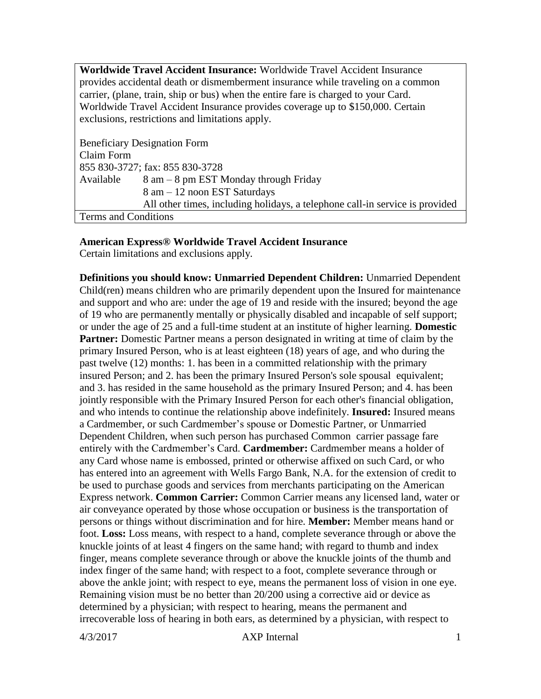**Worldwide Travel Accident Insurance:** Worldwide Travel Accident Insurance provides accidental death or dismemberment insurance while traveling on a common carrier, (plane, train, ship or bus) when the entire fare is charged to your Card. Worldwide Travel Accident Insurance provides coverage up to \$150,000. Certain exclusions, restrictions and limitations apply.

Beneficiary Designation Form Claim Form 855 830-3727; fax: 855 830-3728 Available  $8 \text{ am} - 8 \text{ pm EST Monday through Friday}$ 8 am – 12 noon EST Saturdays All other times, including holidays, a telephone call-in service is provided Terms and Conditions

## **American Express® Worldwide Travel Accident Insurance**

Certain limitations and exclusions apply.

**Definitions you should know: Unmarried Dependent Children:** Unmarried Dependent Child(ren) means children who are primarily dependent upon the Insured for maintenance and support and who are: under the age of 19 and reside with the insured; beyond the age of 19 who are permanently mentally or physically disabled and incapable of self support; or under the age of 25 and a full-time student at an institute of higher learning. **Domestic Partner:** Domestic Partner means a person designated in writing at time of claim by the primary Insured Person, who is at least eighteen (18) years of age, and who during the past twelve (12) months: 1. has been in a committed relationship with the primary insured Person; and 2. has been the primary Insured Person's sole spousal equivalent; and 3. has resided in the same household as the primary Insured Person; and 4. has been jointly responsible with the Primary Insured Person for each other's financial obligation, and who intends to continue the relationship above indefinitely. **Insured:** Insured means a Cardmember, or such Cardmember's spouse or Domestic Partner, or Unmarried Dependent Children, when such person has purchased Common carrier passage fare entirely with the Cardmember's Card. **Cardmember:** Cardmember means a holder of any Card whose name is embossed, printed or otherwise affixed on such Card, or who has entered into an agreement with Wells Fargo Bank, N.A. for the extension of credit to be used to purchase goods and services from merchants participating on the American Express network. **Common Carrier:** Common Carrier means any licensed land, water or air conveyance operated by those whose occupation or business is the transportation of persons or things without discrimination and for hire. **Member:** Member means hand or foot. **Loss:** Loss means, with respect to a hand, complete severance through or above the knuckle joints of at least 4 fingers on the same hand; with regard to thumb and index finger, means complete severance through or above the knuckle joints of the thumb and index finger of the same hand; with respect to a foot, complete severance through or above the ankle joint; with respect to eye, means the permanent loss of vision in one eye. Remaining vision must be no better than 20/200 using a corrective aid or device as determined by a physician; with respect to hearing, means the permanent and irrecoverable loss of hearing in both ears, as determined by a physician, with respect to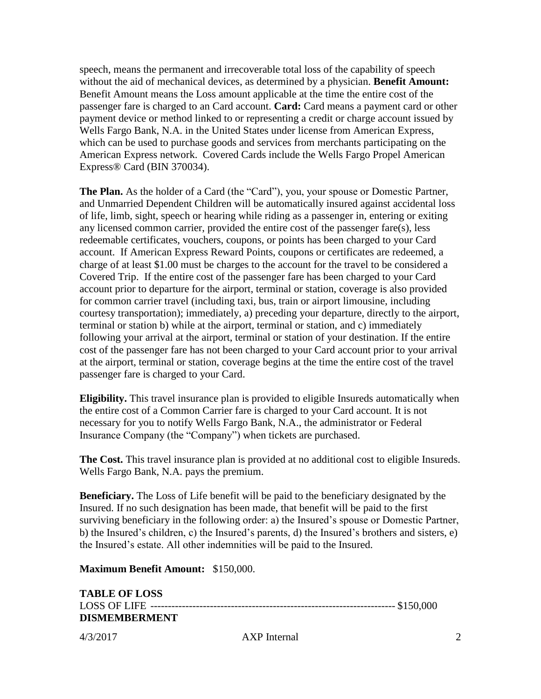speech, means the permanent and irrecoverable total loss of the capability of speech without the aid of mechanical devices, as determined by a physician. **Benefit Amount:**  Benefit Amount means the Loss amount applicable at the time the entire cost of the passenger fare is charged to an Card account. **Card:** Card means a payment card or other payment device or method linked to or representing a credit or charge account issued by Wells Fargo Bank, N.A. in the United States under license from American Express, which can be used to purchase goods and services from merchants participating on the American Express network. Covered Cards include the Wells Fargo Propel American Express® Card (BIN 370034).

The Plan. As the holder of a Card (the "Card"), you, your spouse or Domestic Partner, and Unmarried Dependent Children will be automatically insured against accidental loss of life, limb, sight, speech or hearing while riding as a passenger in, entering or exiting any licensed common carrier, provided the entire cost of the passenger fare(s), less redeemable certificates, vouchers, coupons, or points has been charged to your Card account. If American Express Reward Points, coupons or certificates are redeemed, a charge of at least \$1.00 must be charges to the account for the travel to be considered a Covered Trip. If the entire cost of the passenger fare has been charged to your Card account prior to departure for the airport, terminal or station, coverage is also provided for common carrier travel (including taxi, bus, train or airport limousine, including courtesy transportation); immediately, a) preceding your departure, directly to the airport, terminal or station b) while at the airport, terminal or station, and c) immediately following your arrival at the airport, terminal or station of your destination. If the entire cost of the passenger fare has not been charged to your Card account prior to your arrival at the airport, terminal or station, coverage begins at the time the entire cost of the travel passenger fare is charged to your Card.

**Eligibility.** This travel insurance plan is provided to eligible Insureds automatically when the entire cost of a Common Carrier fare is charged to your Card account. It is not necessary for you to notify Wells Fargo Bank, N.A., the administrator or Federal Insurance Company (the "Company") when tickets are purchased.

**The Cost.** This travel insurance plan is provided at no additional cost to eligible Insureds. Wells Fargo Bank, N.A. pays the premium.

**Beneficiary.** The Loss of Life benefit will be paid to the beneficiary designated by the Insured. If no such designation has been made, that benefit will be paid to the first surviving beneficiary in the following order: a) the Insured's spouse or Domestic Partner, b) the Insured's children, c) the Insured's parents, d) the Insured's brothers and sisters, e) the Insured's estate. All other indemnities will be paid to the Insured.

**Maximum Benefit Amount:** \$150,000.

| <b>TABLE OF LOSS</b> |  |
|----------------------|--|
|                      |  |
| <b>DISMEMBERMENT</b> |  |

4/3/2017 AXP Internal 2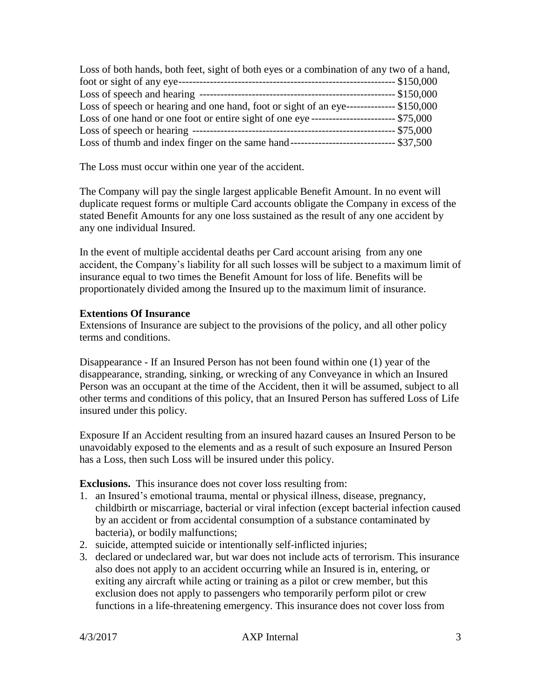| Loss of both hands, both feet, sight of both eyes or a combination of any two of a hand,       |               |
|------------------------------------------------------------------------------------------------|---------------|
| foot or sight of any eye-                                                                      | $-$ \$150,000 |
|                                                                                                |               |
| Loss of speech or hearing and one hand, foot or sight of an eye--------------- \$150,000       |               |
| Loss of one hand or one foot or entire sight of one eye ----------------------------- \$75,000 |               |
|                                                                                                | $-$ \$75,000  |
| Loss of thumb and index finger on the same hand---------------------------------- \$37,500     |               |

The Loss must occur within one year of the accident.

The Company will pay the single largest applicable Benefit Amount. In no event will duplicate request forms or multiple Card accounts obligate the Company in excess of the stated Benefit Amounts for any one loss sustained as the result of any one accident by any one individual Insured.

In the event of multiple accidental deaths per Card account arising from any one accident, the Company's liability for all such losses will be subject to a maximum limit of insurance equal to two times the Benefit Amount for loss of life. Benefits will be proportionately divided among the Insured up to the maximum limit of insurance.

## **Extentions Of Insurance**

Extensions of Insurance are subject to the provisions of the policy, and all other policy terms and conditions.

Disappearance - If an Insured Person has not been found within one (1) year of the disappearance, stranding, sinking, or wrecking of any Conveyance in which an Insured Person was an occupant at the time of the Accident, then it will be assumed, subject to all other terms and conditions of this policy, that an Insured Person has suffered Loss of Life insured under this policy.

Exposure If an Accident resulting from an insured hazard causes an Insured Person to be unavoidably exposed to the elements and as a result of such exposure an Insured Person has a Loss, then such Loss will be insured under this policy.

**Exclusions.** This insurance does not cover loss resulting from:

- 1. an Insured's emotional trauma, mental or physical illness, disease, pregnancy, childbirth or miscarriage, bacterial or viral infection (except bacterial infection caused by an accident or from accidental consumption of a substance contaminated by bacteria), or bodily malfunctions;
- 2. suicide, attempted suicide or intentionally self-inflicted injuries;
- 3. declared or undeclared war, but war does not include acts of terrorism. This insurance also does not apply to an accident occurring while an Insured is in, entering, or exiting any aircraft while acting or training as a pilot or crew member, but this exclusion does not apply to passengers who temporarily perform pilot or crew functions in a life-threatening emergency. This insurance does not cover loss from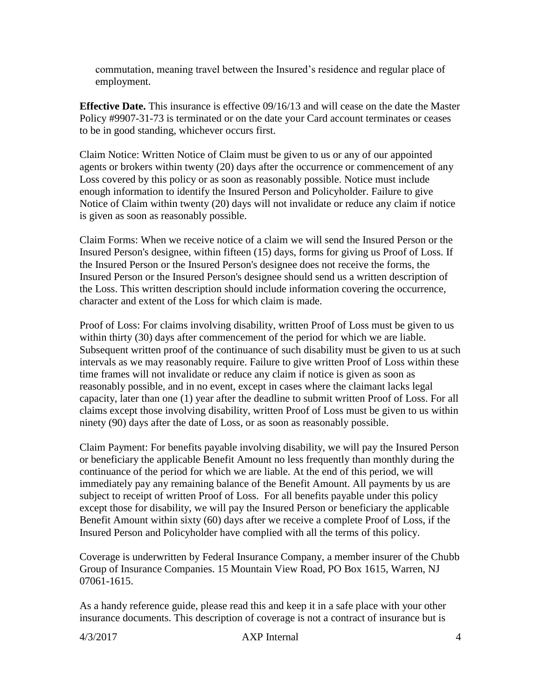commutation, meaning travel between the Insured's residence and regular place of employment.

**Effective Date.** This insurance is effective 09/16/13 and will cease on the date the Master Policy #9907-31-73 is terminated or on the date your Card account terminates or ceases to be in good standing, whichever occurs first.

Claim Notice: Written Notice of Claim must be given to us or any of our appointed agents or brokers within twenty (20) days after the occurrence or commencement of any Loss covered by this policy or as soon as reasonably possible. Notice must include enough information to identify the Insured Person and Policyholder. Failure to give Notice of Claim within twenty (20) days will not invalidate or reduce any claim if notice is given as soon as reasonably possible.

Claim Forms: When we receive notice of a claim we will send the Insured Person or the Insured Person's designee, within fifteen (15) days, forms for giving us Proof of Loss. If the Insured Person or the Insured Person's designee does not receive the forms, the Insured Person or the Insured Person's designee should send us a written description of the Loss. This written description should include information covering the occurrence, character and extent of the Loss for which claim is made.

Proof of Loss: For claims involving disability, written Proof of Loss must be given to us within thirty (30) days after commencement of the period for which we are liable. Subsequent written proof of the continuance of such disability must be given to us at such intervals as we may reasonably require. Failure to give written Proof of Loss within these time frames will not invalidate or reduce any claim if notice is given as soon as reasonably possible, and in no event, except in cases where the claimant lacks legal capacity, later than one (1) year after the deadline to submit written Proof of Loss. For all claims except those involving disability, written Proof of Loss must be given to us within ninety (90) days after the date of Loss, or as soon as reasonably possible.

Claim Payment: For benefits payable involving disability, we will pay the Insured Person or beneficiary the applicable Benefit Amount no less frequently than monthly during the continuance of the period for which we are liable. At the end of this period, we will immediately pay any remaining balance of the Benefit Amount. All payments by us are subject to receipt of written Proof of Loss. For all benefits payable under this policy except those for disability, we will pay the Insured Person or beneficiary the applicable Benefit Amount within sixty (60) days after we receive a complete Proof of Loss, if the Insured Person and Policyholder have complied with all the terms of this policy.

Coverage is underwritten by Federal Insurance Company, a member insurer of the Chubb Group of Insurance Companies. 15 Mountain View Road, PO Box 1615, Warren, NJ 07061-1615.

As a handy reference guide, please read this and keep it in a safe place with your other insurance documents. This description of coverage is not a contract of insurance but is

4/3/2017 AXP Internal 4